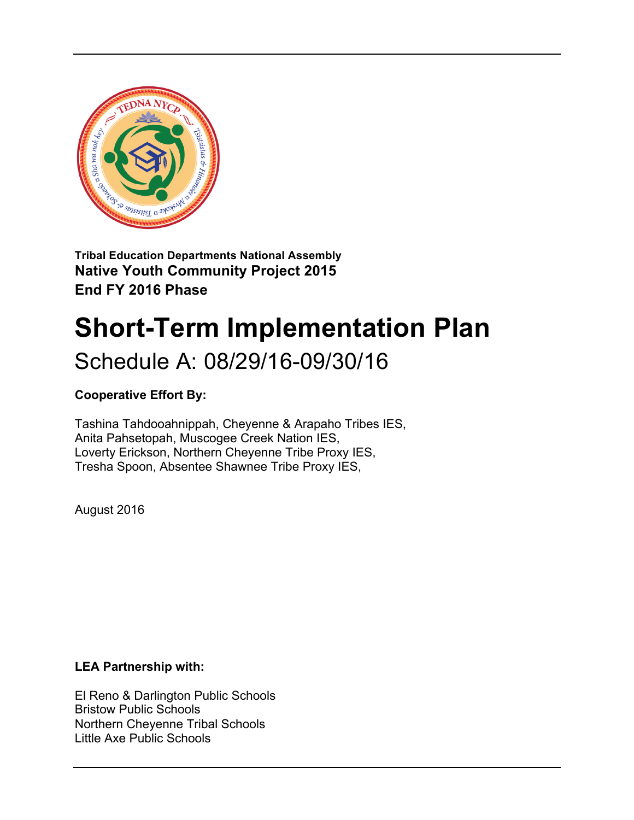

**Native Youth Community Project 2015 End FY 2016 Phase**

# **Short-Term Implementation Plan**

# Schedule A: 08/29/16-09/30/16

# **Cooperative Effort By:**

Tashina Tahdooahnippah, Cheyenne & Arapaho Tribes IES, Anita Pahsetopah, Muscogee Creek Nation IES, Loverty Erickson, Northern Cheyenne Tribe Proxy IES, Tresha Spoon, Absentee Shawnee Tribe Proxy IES,

August 2016

#### **LEA Partnership with:**

El Reno & Darlington Public Schools Bristow Public Schools Northern Cheyenne Tribal Schools Little Axe Public Schools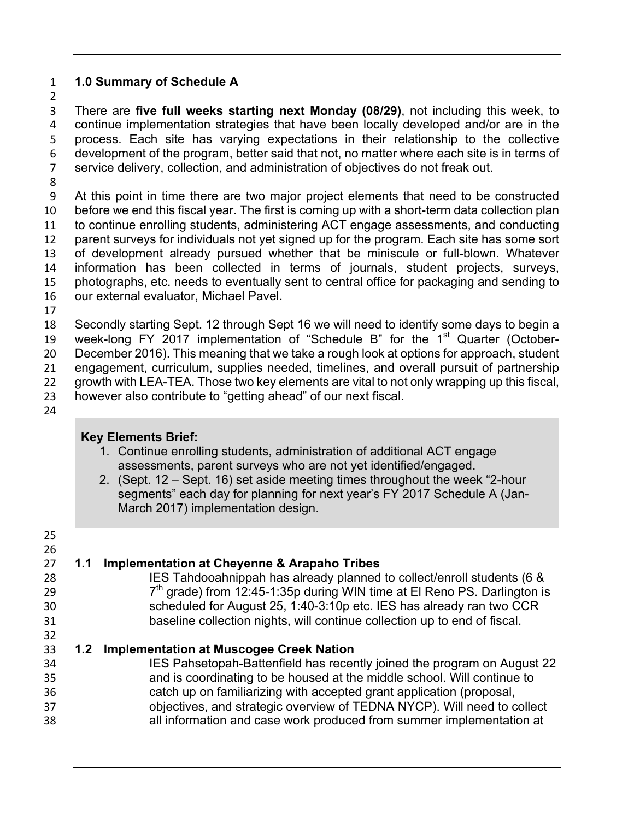#### **1.0 Summary of Schedule A**

 There are **five full weeks starting next Monday (08/29)**, not including this week, to continue implementation strategies that have been locally developed and/or are in the process. Each site has varying expectations in their relationship to the collective development of the program, better said that not, no matter where each site is in terms of service delivery, collection, and administration of objectives do not freak out.

 At this point in time there are two major project elements that need to be constructed before we end this fiscal year. The first is coming up with a short-term data collection plan to continue enrolling students, administering ACT engage assessments, and conducting parent surveys for individuals not yet signed up for the program. Each site has some sort of development already pursued whether that be miniscule or full-blown. Whatever information has been collected in terms of journals, student projects, surveys, photographs, etc. needs to eventually sent to central office for packaging and sending to our external evaluator, Michael Pavel.

 Secondly starting Sept. 12 through Sept 16 we will need to identify some days to begin a 19 week-long FY 2017 implementation of "Schedule B" for the 1<sup>st</sup> Quarter (October- December 2016). This meaning that we take a rough look at options for approach, student engagement, curriculum, supplies needed, timelines, and overall pursuit of partnership growth with LEA-TEA. Those two key elements are vital to not only wrapping up this fiscal, however also contribute to "getting ahead" of our next fiscal.

# **Key Elements Brief:**

- 1. Continue enrolling students, administration of additional ACT engage assessments, parent surveys who are not yet identified/engaged.
- 2. (Sept. 12 Sept. 16) set aside meeting times throughout the week "2-hour segments" each day for planning for next year's FY 2017 Schedule A (Jan-March 2017) implementation design.

 **1.1 Implementation at Cheyenne & Arapaho Tribes** IES Tahdooahnippah has already planned to collect/enroll students (6 &  $7<sup>th</sup>$  grade) from 12:45-1:35p during WIN time at El Reno PS. Darlington is scheduled for August 25, 1:40-3:10p etc. IES has already ran two CCR baseline collection nights, will continue collection up to end of fiscal. **1.2 Implementation at Muscogee Creek Nation** IES Pahsetopah-Battenfield has recently joined the program on August 22 and is coordinating to be housed at the middle school. Will continue to catch up on familiarizing with accepted grant application (proposal, objectives, and strategic overview of TEDNA NYCP). Will need to collect all information and case work produced from summer implementation at